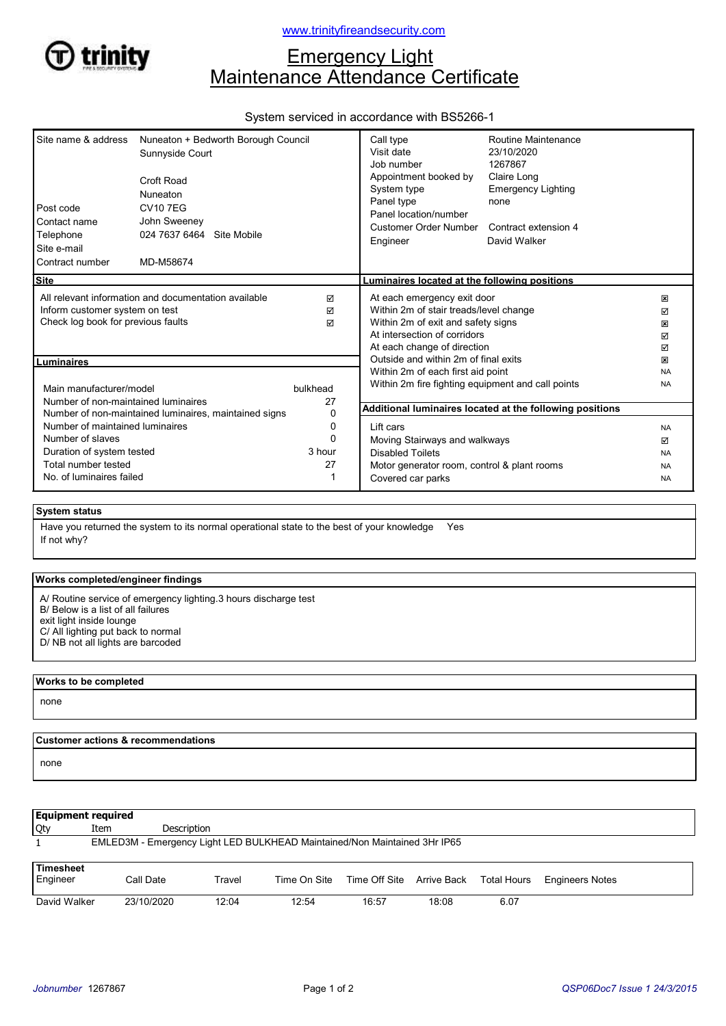

# **Emergency Light** Maintenance Attendance Certificate

# System serviced in accordance with BS5266-1

| Site name & address<br>Post code<br>Contact name<br>Telephone<br>Site e-mail<br>Contract number                                                                                                                                                                | Nuneaton + Bedworth Borough Council<br>Sunnyside Court<br>Croft Road<br>Nuneaton<br><b>CV107EG</b><br>John Sweeney<br>024 7637 6464 Site Mobile<br>MD-M58674 |                                               | Call type<br>Visit date<br>Job number<br>Appointment booked by<br>System type<br>Panel type<br>Panel location/number<br>Customer Order Number<br>Engineer                  | Routine Maintenance<br>23/10/2020<br>1267867<br>Claire Long<br><b>Emergency Lighting</b><br>none<br>Contract extension 4<br>David Walker |                                                       |
|----------------------------------------------------------------------------------------------------------------------------------------------------------------------------------------------------------------------------------------------------------------|--------------------------------------------------------------------------------------------------------------------------------------------------------------|-----------------------------------------------|----------------------------------------------------------------------------------------------------------------------------------------------------------------------------|------------------------------------------------------------------------------------------------------------------------------------------|-------------------------------------------------------|
| <b>Site</b>                                                                                                                                                                                                                                                    |                                                                                                                                                              |                                               | Luminaires located at the following positions                                                                                                                              |                                                                                                                                          |                                                       |
| All relevant information and documentation available<br>Inform customer system on test<br>Check log book for previous faults                                                                                                                                   |                                                                                                                                                              | ⊠<br>☑<br>☑                                   | At each emergency exit door<br>Within 2m of stair treads/level change<br>Within 2m of exit and safety signs<br>At intersection of corridors<br>At each change of direction |                                                                                                                                          | ×<br>☑<br>×<br>☑<br>☑                                 |
| Luminaires                                                                                                                                                                                                                                                     |                                                                                                                                                              |                                               | Outside and within 2m of final exits                                                                                                                                       |                                                                                                                                          | ×<br><b>NA</b>                                        |
| Main manufacturer/model<br>Number of non-maintained luminaires<br>Number of non-maintained luminaires, maintained signs<br>Number of maintained luminaires<br>Number of slaves<br>Duration of system tested<br>Total number tested<br>No. of luminaires failed |                                                                                                                                                              | bulkhead<br>27<br>0<br>0<br>ŋ<br>3 hour<br>27 | Within 2m of each first aid point<br>Within 2m fire fighting equipment and call points<br>Additional luminaires located at the following positions                         |                                                                                                                                          |                                                       |
|                                                                                                                                                                                                                                                                |                                                                                                                                                              |                                               | Lift cars<br>Moving Stairways and walkways<br><b>Disabled Toilets</b><br>Motor generator room, control & plant rooms<br>Covered car parks                                  |                                                                                                                                          | <b>NA</b><br>☑<br><b>NA</b><br><b>NA</b><br><b>NA</b> |

## System status

If not why? Have you returned the system to its normal operational state to the best of your knowledge Yes

#### Works completed/engineer findings

A/ Routine service of emergency lighting.3 hours discharge test B/ Below is a list of all failures exit light inside lounge C/ All lighting put back to normal

D/ NB not all lights are barcoded

# Works to be completed none

## Customer actions & recommendations

none

| <b>Equipment required</b>                                                 |      |             |        |              |                                       |       |      |                        |
|---------------------------------------------------------------------------|------|-------------|--------|--------------|---------------------------------------|-------|------|------------------------|
| <b>Qty</b>                                                                | Item | Description |        |              |                                       |       |      |                        |
| EMLED3M - Emergency Light LED BULKHEAD Maintained/Non Maintained 3Hr IP65 |      |             |        |              |                                       |       |      |                        |
| Timesheet<br>Engineer                                                     |      | Call Date   | Travel | Time On Site | Time Off Site Arrive Back Total Hours |       |      | <b>Engineers Notes</b> |
| David Walker                                                              |      | 23/10/2020  | 12:04  | 12:54        | 16:57                                 | 18:08 | 6.07 |                        |